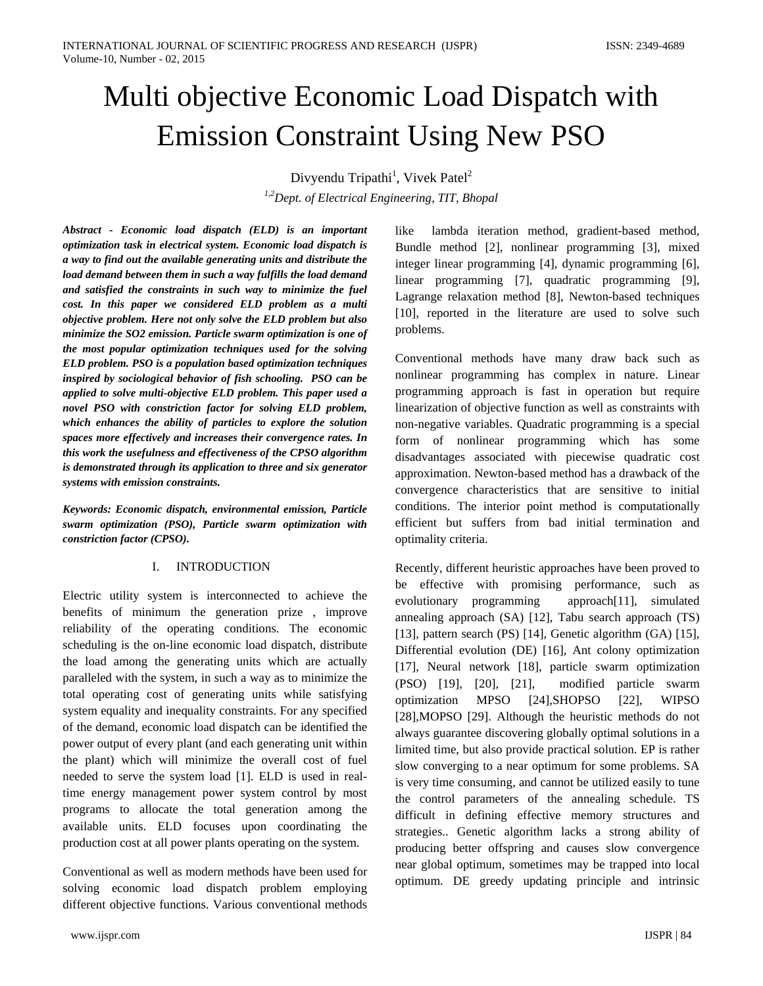# Multi objective Economic Load Dispatch with Emission Constraint Using New PSO

Divyendu Tripathi<sup>1</sup>, Vivek Patel<sup>2</sup>

*1,2Dept. of Electrical Engineering, TIT, Bhopal*

*Abstract - Economic load dispatch (ELD) is an important optimization task in electrical system. Economic load dispatch is a way to find out the available generating units and distribute the load demand between them in such a way fulfills the load demand and satisfied the constraints in such way to minimize the fuel cost. In this paper we considered ELD problem as a multi objective problem. Here not only solve the ELD problem but also minimize the SO2 emission. Particle swarm optimization is one of the most popular optimization techniques used for the solving ELD problem. PSO is a population based optimization techniques inspired by sociological behavior of fish schooling. PSO can be applied to solve multi-objective ELD problem. This paper used a novel PSO with constriction factor for solving ELD problem, which enhances the ability of particles to explore the solution spaces more effectively and increases their convergence rates. In this work the usefulness and effectiveness of the CPSO algorithm is demonstrated through its application to three and six generator systems with emission constraints.*

*Keywords: Economic dispatch, environmental emission, Particle swarm optimization (PSO), Particle swarm optimization with constriction factor (CPSO).*

# I. INTRODUCTION

Electric utility system is interconnected to achieve the benefits of minimum the generation prize , improve reliability of the operating conditions. The economic scheduling is the on-line economic load dispatch, distribute the load among the generating units which are actually paralleled with the system, in such a way as to minimize the total operating cost of generating units while satisfying system equality and inequality constraints. For any specified of the demand, economic load dispatch can be identified the power output of every plant (and each generating unit within the plant) which will minimize the overall cost of fuel needed to serve the system load [1]. ELD is used in realtime energy management power system control by most programs to allocate the total generation among the available units. ELD focuses upon coordinating the production cost at all power plants operating on the system.

Conventional as well as modern methods have been used for solving economic load dispatch problem employing different objective functions. Various conventional methods like lambda iteration method, gradient-based method, Bundle method [2], nonlinear programming [3], mixed integer linear programming [4], dynamic programming [6], linear programming [7], quadratic programming [9], Lagrange relaxation method [8], Newton-based techniques [10], reported in the literature are used to solve such problems.

Conventional methods have many draw back such as nonlinear programming has complex in nature. Linear programming approach is fast in operation but require linearization of objective function as well as constraints with non-negative variables. Quadratic programming is a special form of nonlinear programming which has some disadvantages associated with piecewise quadratic cost approximation. Newton-based method has a drawback of the convergence characteristics that are sensitive to initial conditions. The interior point method is computationally efficient but suffers from bad initial termination and optimality criteria.

Recently, different heuristic approaches have been proved to be effective with promising performance, such as evolutionary programming approach[11], simulated annealing approach (SA) [12], Tabu search approach (TS) [13], pattern search (PS) [14], Genetic algorithm (GA) [15], Differential evolution (DE) [16], Ant colony optimization [17], Neural network [18], particle swarm optimization (PSO) [19], [20], [21], modified particle swarm optimization MPSO [24],SHOPSO [22], WIPSO [28],MOPSO [29]. Although the heuristic methods do not always guarantee discovering globally optimal solutions in a limited time, but also provide practical solution. EP is rather slow converging to a near optimum for some problems. SA is very time consuming, and cannot be utilized easily to tune the control parameters of the annealing schedule. TS difficult in defining effective memory structures and strategies.. Genetic algorithm lacks a strong ability of producing better offspring and causes slow convergence near global optimum, sometimes may be trapped into local optimum. DE greedy updating principle and intrinsic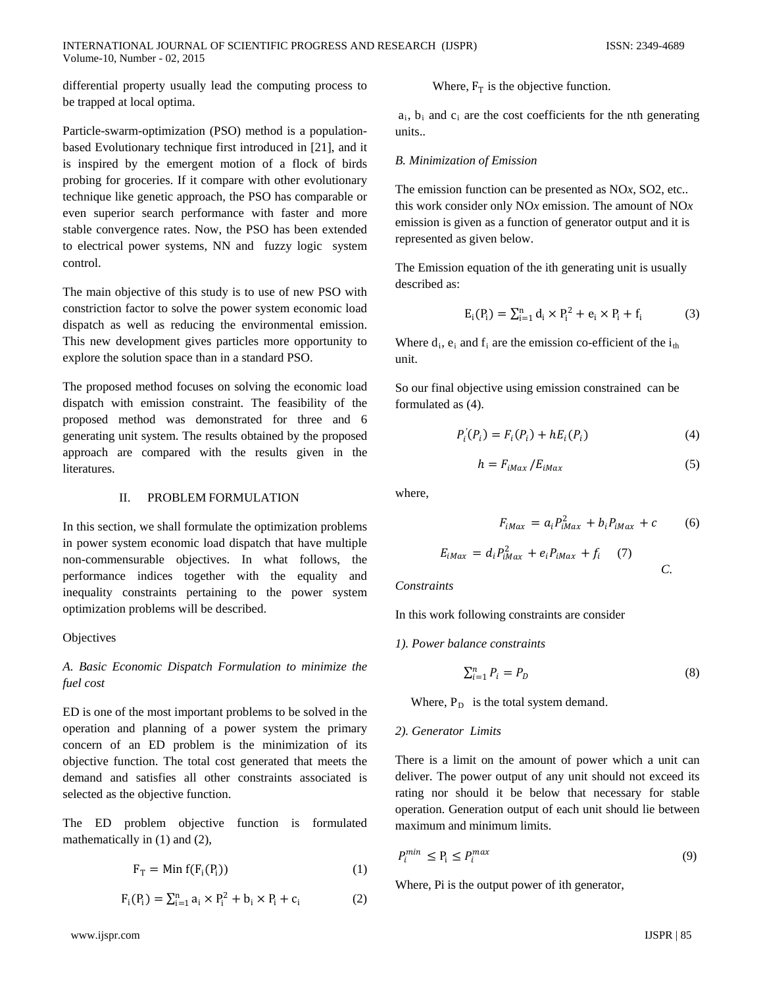INTERNATIONAL JOURNAL OF SCIENTIFIC PROGRESS AND RESEARCH (IJSPR) ISSN: 2349-4689 Volume-10, Number - 02, 2015

differential property usually lead the computing process to be trapped at local optima.

Particle-swarm-optimization (PSO) method is a populationbased Evolutionary technique first introduced in [21], and it is inspired by the emergent motion of a flock of birds probing for groceries. If it compare with other evolutionary technique like genetic approach, the PSO has comparable or even superior search performance with faster and more stable convergence rates. Now, the PSO has been extended to electrical power systems, NN and fuzzy logic system control.

The main objective of this study is to use of new PSO with constriction factor to solve the power system economic load dispatch as well as reducing the environmental emission. This new development gives particles more opportunity to explore the solution space than in a standard PSO.

The proposed method focuses on solving the economic load dispatch with emission constraint. The feasibility of the proposed method was demonstrated for three and 6 generating unit system. The results obtained by the proposed approach are compared with the results given in the literatures.

### II. PROBLEM FORMULATION

In this section, we shall formulate the optimization problems in power system economic load dispatch that have multiple non-commensurable objectives. In what follows, the performance indices together with the equality and inequality constraints pertaining to the power system optimization problems will be described.

### **Objectives**

# *A. Basic Economic Dispatch Formulation to minimize the fuel cost*

ED is one of the most important problems to be solved in the operation and planning of a power system the primary concern of an ED problem is the minimization of its objective function. The total cost generated that meets the demand and satisfies all other constraints associated is selected as the objective function.

The ED problem objective function is formulated mathematically in (1) and (2),

$$
F_T = Min f(F_i(P_i))
$$
 (1)

$$
F_i(P_i) = \sum_{i=1}^{n} a_i \times P_i^2 + b_i \times P_i + c_i \tag{2}
$$

Where,  $F_T$  is the objective function.

 $a_i$ ,  $b_i$  and  $c_i$  are the cost coefficients for the nth generating units..

#### *B. Minimization of Emission*

The emission function can be presented as NO*x*, SO2, etc.. this work consider only NO*x* emission. The amount of NO*x*  emission is given as a function of generator output and it is represented as given below.

The Emission equation of the ith generating unit is usually described as:

$$
E_i(P_i) = \sum_{i=1}^{n} d_i \times P_i^2 + e_i \times P_i + f_i \tag{3}
$$

Where  $d_i$ ,  $e_i$  and  $f_i$  are the emission co-efficient of the  $i_{th}$ unit.

So our final objective using emission constrained can be formulated as (4).

$$
P'_{i}(P_{i}) = F_{i}(P_{i}) + hE_{i}(P_{i})
$$
\n(4)

$$
h = F_{iMax} / E_{iMax} \tag{5}
$$

where,

$$
F_{iMax} = a_i P_{iMax}^2 + b_i P_{iMax} + c \tag{6}
$$

$$
E_{iMax} = d_i P_{iMax}^2 + e_i P_{iMax} + f_i
$$
 (7)

*Constraints*

In this work following constraints are consider

*1). Power balance constraints*

$$
\sum_{i=1}^{n} P_i = P_D \tag{8}
$$

Where,  $P_D$  is the total system demand.

### *2). Generator Limits*

There is a limit on the amount of power which a unit can deliver. The power output of any unit should not exceed its rating nor should it be below that necessary for stable operation. Generation output of each unit should lie between maximum and minimum limits.

$$
P_i^{min} \le P_i \le P_i^{max} \tag{9}
$$

Where, Pi is the output power of ith generator,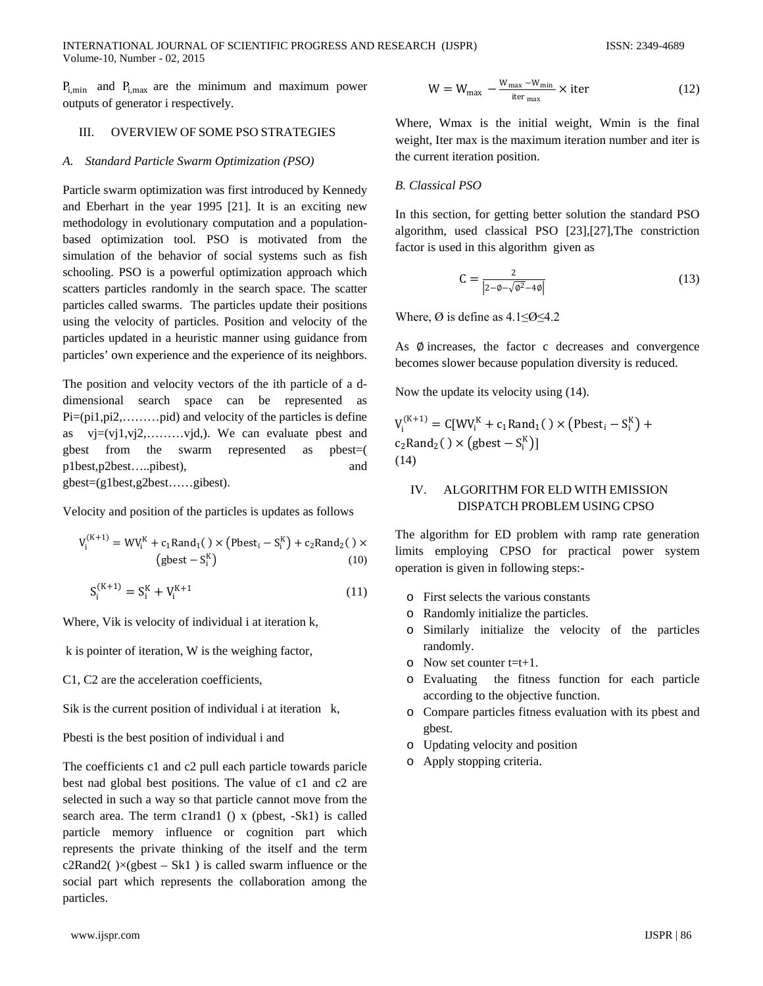$P_{i,min}$  and  $P_{i,max}$  are the minimum and maximum power outputs of generator i respectively.

## III. OVERVIEW OF SOME PSO STRATEGIES

## *A. Standard Particle Swarm Optimization (PSO)*

Particle swarm optimization was first introduced by Kennedy and Eberhart in the year 1995 [21]. It is an exciting new methodology in evolutionary computation and a populationbased optimization tool. PSO is motivated from the simulation of the behavior of social systems such as fish schooling. PSO is a powerful optimization approach which scatters particles randomly in the search space. The scatter particles called swarms. The particles update their positions using the velocity of particles. Position and velocity of the particles updated in a heuristic manner using guidance from particles' own experience and the experience of its neighbors.

The position and velocity vectors of the ith particle of a ddimensional search space can be represented as Pi=(pi1,pi2,………pid) and velocity of the particles is define as  $vi=(vi1, vi2, \ldots, vid)$ . We can evaluate post and gbest from the swarm represented as pbest=( p1best,p2best…..pibest), and gbest=(g1best,g2best……gibest).

Velocity and position of the particles is updates as follows

$$
V_i^{(K+1)} = WW_i^K + c_1 \text{Rand}_1() \times (\text{Pbest}_i - S_i^K) + c_2 \text{Rand}_2() \times
$$
  
(gbest - S\_i^K) (10)

$$
S_i^{(K+1)} = S_i^K + V_i^{K+1}
$$
 (11)

Where, Vik is velocity of individual i at iteration k,

k is pointer of iteration, W is the weighing factor,

C1, C2 are the acceleration coefficients,

Sik is the current position of individual i at iteration k,

Pbesti is the best position of individual i and

The coefficients c1 and c2 pull each particle towards paricle best nad global best positions. The value of c1 and c2 are selected in such a way so that particle cannot move from the search area. The term c1rand1 () x (pbest, -Sk1) is called particle memory influence or cognition part which represents the private thinking of the itself and the term c2Rand2( $\angle x$ (gbest – Sk1) is called swarm influence or the social part which represents the collaboration among the particles.

$$
W = W_{\text{max}} - \frac{W_{\text{max}} - W_{\text{min}}}{\text{iter}_{\text{max}}} \times \text{iter}
$$
 (12)

Where, Wmax is the initial weight, Wmin is the final weight, Iter max is the maximum iteration number and iter is the current iteration position.

# *B. Classical PSO*

In this section, for getting better solution the standard PSO algorithm, used classical PSO [23],[27],The constriction factor is used in this algorithm given as

$$
C = \frac{2}{|2 - \phi - \sqrt{\phi^2 - 4\phi}|}
$$
 (13)

Where,  $\varnothing$  is define as 4.1≤ $\varnothing$ ≤4.2

As  $\emptyset$  increases, the factor c decreases and convergence becomes slower because population diversity is reduced.

Now the update its velocity using (14).

$$
V_i^{(K+1)} = C[WV_i^K + c_1 \text{Rand}_1() \times (\text{Pbest}_i - S_i^K) + c_2 \text{Rand}_2() \times (\text{gbest} - S_i^K)]
$$
  
(14)

# IV. ALGORITHM FOR ELD WITH EMISSION DISPATCH PROBLEM USING CPSO

The algorithm for ED problem with ramp rate generation limits employing CPSO for practical power system operation is given in following steps:-

- o First selects the various constants
- o Randomly initialize the particles.
- o Similarly initialize the velocity of the particles randomly.
- $\circ$  Now set counter t=t+1.
- o Evaluating the fitness function for each particle according to the objective function.
- o Compare particles fitness evaluation with its pbest and gbest.
- o Updating velocity and position
- o Apply stopping criteria.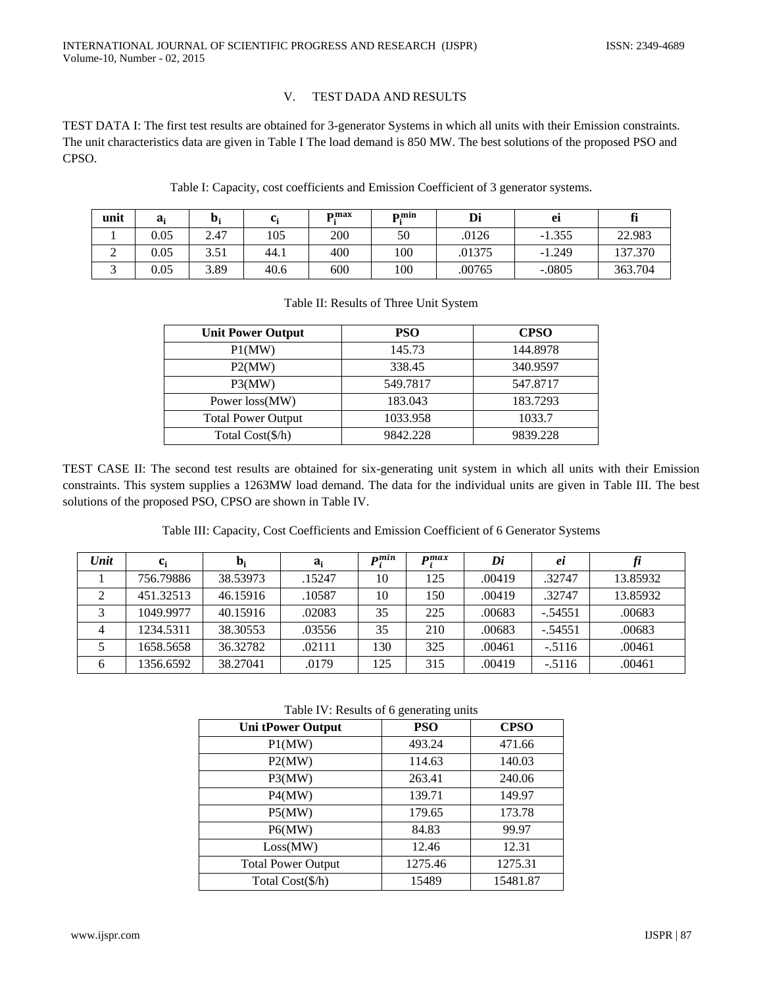# V. TEST DADA AND RESULTS

TEST DATA I: The first test results are obtained for 3-generator Systems in which all units with their Emission constraints. The unit characteristics data are given in Table I The load demand is 850 MW. The best solutions of the proposed PSO and CPSO.

| unit | $a_i$ | D.   | c.   | max | nmin | Di     | ei       | fi      |
|------|-------|------|------|-----|------|--------|----------|---------|
|      | 0.05  | 2.47 | 105  | 200 | 50   | .0126  | $-1.355$ | 22.983  |
| ∠    | 0.05  | 3.51 | 44.1 | 400 | 100  | .01375 | $-1.249$ | 137.370 |
| ັ    | 0.05  | 3.89 | 40.6 | 600 | 100  | .00765 | $-.0805$ | 363.704 |

| Table I: Capacity, cost coefficients and Emission Coefficient of 3 generator systems. |  |  |  |  |  |
|---------------------------------------------------------------------------------------|--|--|--|--|--|
|---------------------------------------------------------------------------------------|--|--|--|--|--|

| <b>Unit Power Output</b>  | <b>PSO</b> | <b>CPSO</b> |  |  |
|---------------------------|------------|-------------|--|--|
| P1(MW)                    | 145.73     | 144.8978    |  |  |
| P2(MW)                    | 338.45     | 340.9597    |  |  |
| P3(MW)                    | 549.7817   | 547.8717    |  |  |
| Power loss(MW)            | 183.043    | 183.7293    |  |  |
| <b>Total Power Output</b> | 1033.958   | 1033.7      |  |  |
| Total Cost(\$/h)          | 9842.228   | 9839.228    |  |  |

## Table II: Results of Three Unit System

TEST CASE II: The second test results are obtained for six-generating unit system in which all units with their Emission constraints. This system supplies a 1263MW load demand. The data for the individual units are given in Table III. The best solutions of the proposed PSO, CPSO are shown in Table IV.

Table III: Capacity, Cost Coefficients and Emission Coefficient of 6 Generator Systems

| Unit | $c_i$     | $b_i$    | $a_i$  | nmin | $\mathbf{m}$ | Di     | ei        |          |
|------|-----------|----------|--------|------|--------------|--------|-----------|----------|
|      | 756.79886 | 38.53973 | .15247 | 10   | 125          | .00419 | .32747    | 13.85932 |
|      | 451.32513 | 46.15916 | .10587 | 10   | 150          | .00419 | .32747    | 13.85932 |
| っ    | 1049.9977 | 40.15916 | .02083 | 35   | 225          | .00683 | $-.54551$ | .00683   |
|      | 1234.5311 | 38.30553 | .03556 | 35   | 210          | .00683 | $-.54551$ | .00683   |
|      | 1658.5658 | 36.32782 | .02111 | 130  | 325          | .00461 | $-.5116$  | .00461   |
| 6    | 1356.6592 | 38.27041 | .0179  | 125  | 315          | .00419 | $-.5116$  | .00461   |

Table IV: Results of 6 generating units

| <b>Uni tPower Output</b>  | <b>PSO</b> | <b>CPSO</b> |  |  |  |  |  |
|---------------------------|------------|-------------|--|--|--|--|--|
| P1(MW)                    | 493.24     | 471.66      |  |  |  |  |  |
| P2(MW)                    | 114.63     | 140.03      |  |  |  |  |  |
| P3(MW)                    | 263.41     | 240.06      |  |  |  |  |  |
| P4(MW)                    | 139.71     | 149.97      |  |  |  |  |  |
| P5(MW)                    | 179.65     | 173.78      |  |  |  |  |  |
| P6(MW)                    | 84.83      | 99.97       |  |  |  |  |  |
| Loss(MW)                  | 12.46      | 12.31       |  |  |  |  |  |
| <b>Total Power Output</b> | 1275.46    | 1275.31     |  |  |  |  |  |
| Total Cost(\$/h)          | 15489      | 15481.87    |  |  |  |  |  |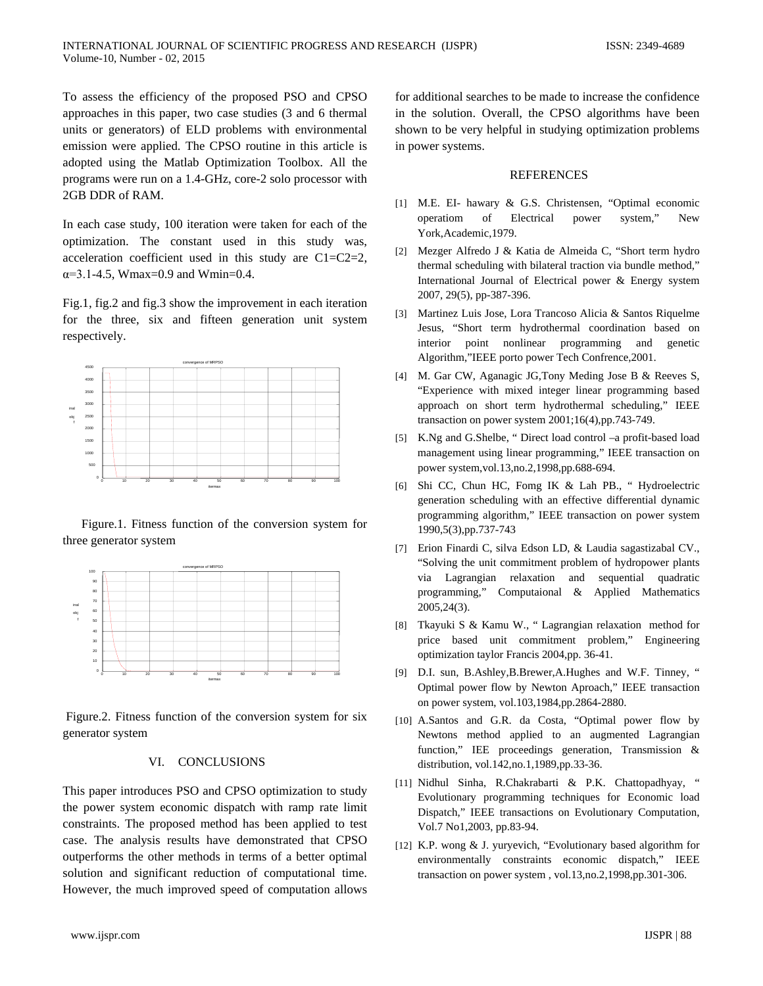To assess the efficiency of the proposed PSO and CPSO approaches in this paper, two case studies (3 and 6 thermal units or generators) of ELD problems with environmental emission were applied. The CPSO routine in this article is adopted using the Matlab Optimization Toolbox. All the programs were run on a 1.4-GHz, core-2 solo processor with 2GB DDR of RAM.

In each case study, 100 iteration were taken for each of the optimization. The constant used in this study was, acceleration coefficient used in this study are C1=C2=2,  $\alpha = 3.1 - 4.5$ , Wmax=0.9 and Wmin=0.4.

Fig.1, fig.2 and fig.3 show the improvement in each iteration for the three, six and fifteen generation unit system respectively.



 Figure.1. Fitness function of the conversion system for three generator system



Figure.2. Fitness function of the conversion system for six generator system

## VI. CONCLUSIONS

This paper introduces PSO and CPSO optimization to study the power system economic dispatch with ramp rate limit constraints. The proposed method has been applied to test case. The analysis results have demonstrated that CPSO outperforms the other methods in terms of a better optimal solution and significant reduction of computational time. However, the much improved speed of computation allows

for additional searches to be made to increase the confidence in the solution. Overall, the CPSO algorithms have been shown to be very helpful in studying optimization problems in power systems.

#### **REFERENCES**

- [1] M.E. EI- hawary & G.S. Christensen, "Optimal economic operatiom of Electrical power system," New York,Academic,1979.
- [2] Mezger Alfredo J & Katia de Almeida C, "Short term hydro thermal scheduling with bilateral traction via bundle method," International Journal of Electrical power & Energy system 2007, 29(5), pp-387-396.
- [3] Martinez Luis Jose, Lora Trancoso Alicia & Santos Riquelme Jesus, "Short term hydrothermal coordination based on interior point nonlinear programming and genetic Algorithm,"IEEE porto power Tech Confrence,2001.
- [4] M. Gar CW, Aganagic JG,Tony Meding Jose B & Reeves S, "Experience with mixed integer linear programming based approach on short term hydrothermal scheduling," IEEE transaction on power system 2001;16(4),pp.743-749.
- [5] K.Ng and G.Shelbe, " Direct load control –a profit-based load management using linear programming," IEEE transaction on power system,vol.13,no.2,1998,pp.688-694.
- [6] Shi CC, Chun HC, Fomg IK & Lah PB., " Hydroelectric generation scheduling with an effective differential dynamic programming algorithm," IEEE transaction on power system 1990,5(3),pp.737-743
- [7] Erion Finardi C, silva Edson LD, & Laudia sagastizabal CV., "Solving the unit commitment problem of hydropower plants via Lagrangian relaxation and sequential quadratic programming," Computaional & Applied Mathematics 2005,24(3).
- [8] Tkayuki S & Kamu W., " Lagrangian relaxation method for price based unit commitment problem," Engineering optimization taylor Francis 2004,pp. 36-41.
- [9] D.I. sun, B.Ashley,B.Brewer,A.Hughes and W.F. Tinney, " Optimal power flow by Newton Aproach," IEEE transaction on power system, vol.103,1984,pp.2864-2880.
- [10] A.Santos and G.R. da Costa, "Optimal power flow by Newtons method applied to an augmented Lagrangian function," IEE proceedings generation, Transmission & distribution, vol.142,no.1,1989,pp.33-36.
- [11] Nidhul Sinha, R.Chakrabarti & P.K. Chattopadhyay, " Evolutionary programming techniques for Economic load Dispatch," IEEE transactions on Evolutionary Computation, Vol.7 No1,2003, pp.83-94.
- [12] K.P. wong & J. yuryevich, "Evolutionary based algorithm for environmentally constraints economic dispatch," IEEE transaction on power system , vol.13,no.2,1998,pp.301-306.